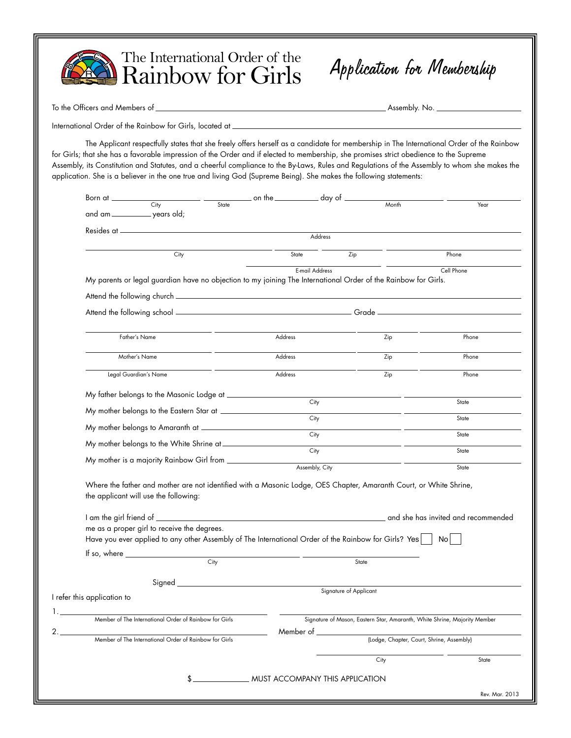## Application for Membership To the Officers and Members of Assembly. No. 2008 and Members of Assembly. No. 2008 and Members of Assembly. No International Order of the Rainbow for Girls, located at \_\_\_ R Øø) F $\epsilon$ The International Order of the Rainbow for Girls

The Applicant respectfully states that she freely offers herself as a candidate for membership in The International Order of the Rainbow for Girls; that she has a favorable impression of the Order and if elected to membership, she promises strict obedience to the Supreme Assembly, its Constitution and Statutes, and a cheerful compliance to the By-Laws, Rules and Regulations of the Assembly to whom she makes the application. She is a believer in the one true and living God (Supreme Being). She makes the following statements:

| $\overline{C}$ ity<br>State<br>and $am$ _______________ years old;                                                                                                                                                                   |                       | Month                                                                     | Year                                      |
|--------------------------------------------------------------------------------------------------------------------------------------------------------------------------------------------------------------------------------------|-----------------------|---------------------------------------------------------------------------|-------------------------------------------|
|                                                                                                                                                                                                                                      |                       |                                                                           |                                           |
| Resides at __________________                                                                                                                                                                                                        | Address               |                                                                           |                                           |
| City                                                                                                                                                                                                                                 | State                 | Zip                                                                       | Phone                                     |
|                                                                                                                                                                                                                                      | <b>E-mail Address</b> |                                                                           | Cell Phone                                |
| My parents or legal guardian have no objection to my joining The International Order of the Rainbow for Girls.                                                                                                                       |                       |                                                                           |                                           |
| Attend the following church <u>example and the set of the set of the set of the set of the set of the set of the set of the set of the set of the set of the set of the set of the set of the set of the set of the set of the s</u> |                       |                                                                           |                                           |
|                                                                                                                                                                                                                                      |                       |                                                                           |                                           |
|                                                                                                                                                                                                                                      |                       |                                                                           |                                           |
| Father's Name                                                                                                                                                                                                                        | Address               | Zip                                                                       | Phone                                     |
| Mother's Name                                                                                                                                                                                                                        | Address               | Zip                                                                       | Phone                                     |
| Legal Guardian's Name                                                                                                                                                                                                                | Address               | Zip                                                                       | Phone                                     |
| My father belongs to the Masonic Lodge at _____________                                                                                                                                                                              |                       |                                                                           |                                           |
| My mother belongs to the Eastern Star at _____________                                                                                                                                                                               | City                  |                                                                           | State                                     |
|                                                                                                                                                                                                                                      | City                  |                                                                           | State                                     |
|                                                                                                                                                                                                                                      | City                  |                                                                           | State                                     |
|                                                                                                                                                                                                                                      | City                  |                                                                           | State                                     |
|                                                                                                                                                                                                                                      | Assembly, City        |                                                                           |                                           |
|                                                                                                                                                                                                                                      |                       |                                                                           | State                                     |
| Where the father and mother are not identified with a Masonic Lodge, OES Chapter, Amaranth Court, or White Shrine,<br>the applicant will use the following:                                                                          |                       |                                                                           |                                           |
|                                                                                                                                                                                                                                      |                       |                                                                           |                                           |
| me as a proper girl to receive the degrees.                                                                                                                                                                                          |                       |                                                                           | and she has invited and recommended       |
| Have you ever applied to any other Assembly of The International Order of the Rainbow for Girls? Yes   No                                                                                                                            |                       |                                                                           |                                           |
| If so, where $\_\_$                                                                                                                                                                                                                  |                       |                                                                           |                                           |
|                                                                                                                                                                                                                                      |                       | State                                                                     |                                           |
| City                                                                                                                                                                                                                                 |                       |                                                                           |                                           |
|                                                                                                                                                                                                                                      |                       |                                                                           |                                           |
|                                                                                                                                                                                                                                      |                       | Signature of Applicant                                                    |                                           |
| I refer this application to                                                                                                                                                                                                          |                       |                                                                           |                                           |
| Member of The International Order of Rainbow for Girls                                                                                                                                                                               |                       | Signature of Mason, Eastern Star, Amaranth, White Shrine, Majority Member |                                           |
|                                                                                                                                                                                                                                      | Member of             |                                                                           |                                           |
| Member of The International Order of Rainbow for Girls                                                                                                                                                                               |                       |                                                                           | (Lodge, Chapter, Court, Shrine, Assembly) |
|                                                                                                                                                                                                                                      |                       | City                                                                      | State                                     |